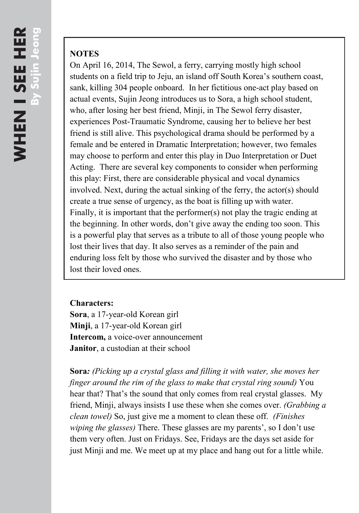## **NOTES**

On April 16, 2014, The Sewol, a ferry, carrying mostly high school students on a field trip to Jeju, an island off South Korea's southern coast, sank, killing 304 people onboard. In her fictitious one-act play based on actual events, Sujin Jeong introduces us to Sora, a high school student, who, after losing her best friend, Minji, in The Sewol ferry disaster, experiences Post-Traumatic Syndrome, causing her to believe her best friend is still alive. This psychological drama should be performed by a female and be entered in Dramatic Interpretation; however, two females may choose to perform and enter this play in Duo Interpretation or Duet Acting. There are several key components to consider when performing this play: First, there are considerable physical and vocal dynamics involved. Next, during the actual sinking of the ferry, the actor(s) should create a true sense of urgency, as the boat is filling up with water. Finally, it is important that the performer(s) not play the tragic ending at the beginning. In other words, don't give away the ending too soon. This is a powerful play that serves as a tribute to all of those young people who lost their lives that day. It also serves as a reminder of the pain and enduring loss felt by those who survived the disaster and by those who lost their loved ones.

## **Characters:**

**Sora**, a 17-year-old Korean girl **Minji**, a 17-year-old Korean girl **Intercom,** a voice-over announcement **Janitor**, a custodian at their school

**Sora***: (Picking up a crystal glass and filling it with water, she moves her finger around the rim of the glass to make that crystal ring sound)* You hear that? That's the sound that only comes from real crystal glasses. My friend, Minji, always insists I use these when she comes over. *(Grabbing a clean towel)* So, just give me a moment to clean these off. *(Finishes wiping the glasses)* There. These glasses are my parents', so I don't use them very often. Just on Fridays. See, Fridays are the days set aside for just Minji and me. We meet up at my place and hang out for a little while.